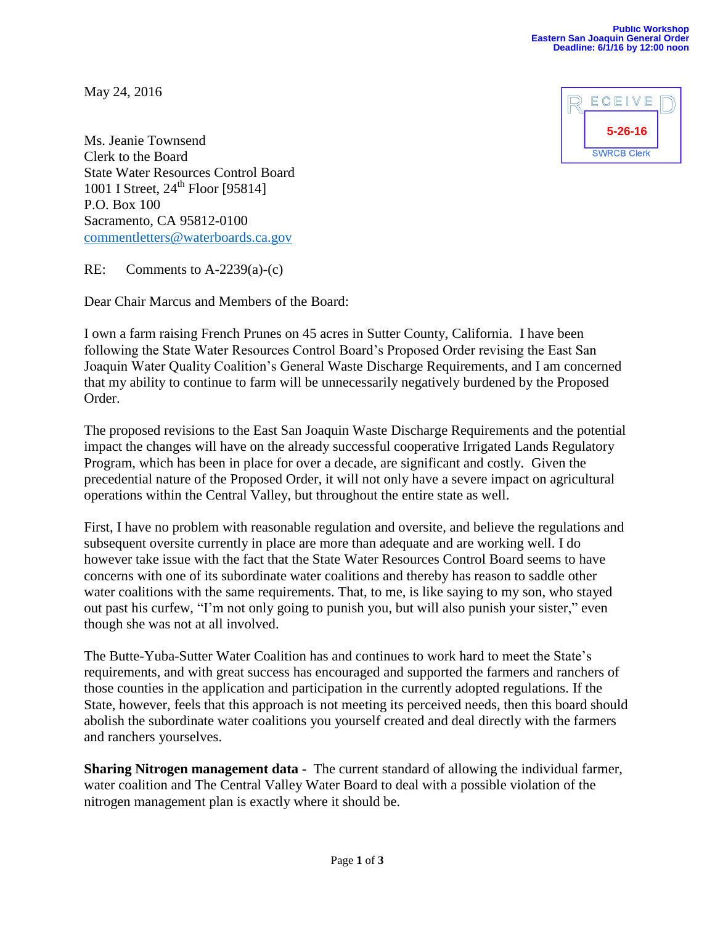May 24, 2016



Ms. Jeanie Townsend Clerk to the Board State Water Resources Control Board  $1001$  I Street,  $24^{th}$  Floor [95814] P.O. Box 100 Sacramento, CA 95812-0100 [commentletters@waterboards.ca.gov](mailto:commentletters@waterboards.ca.gov)

RE: Comments to A-2239(a)-(c)

Dear Chair Marcus and Members of the Board:

I own a farm raising French Prunes on 45 acres in Sutter County, California. I have been following the State Water Resources Control Board's Proposed Order revising the East San Joaquin Water Quality Coalition's General Waste Discharge Requirements, and I am concerned that my ability to continue to farm will be unnecessarily negatively burdened by the Proposed Order.

The proposed revisions to the East San Joaquin Waste Discharge Requirements and the potential impact the changes will have on the already successful cooperative Irrigated Lands Regulatory Program, which has been in place for over a decade, are significant and costly. Given the precedential nature of the Proposed Order, it will not only have a severe impact on agricultural operations within the Central Valley, but throughout the entire state as well.

First, I have no problem with reasonable regulation and oversite, and believe the regulations and subsequent oversite currently in place are more than adequate and are working well. I do however take issue with the fact that the State Water Resources Control Board seems to have concerns with one of its subordinate water coalitions and thereby has reason to saddle other water coalitions with the same requirements. That, to me, is like saying to my son, who stayed out past his curfew, "I'm not only going to punish you, but will also punish your sister," even though she was not at all involved.

The Butte-Yuba-Sutter Water Coalition has and continues to work hard to meet the State's requirements, and with great success has encouraged and supported the farmers and ranchers of those counties in the application and participation in the currently adopted regulations. If the State, however, feels that this approach is not meeting its perceived needs, then this board should abolish the subordinate water coalitions you yourself created and deal directly with the farmers and ranchers yourselves.

**Sharing Nitrogen management data -** The current standard of allowing the individual farmer, water coalition and The Central Valley Water Board to deal with a possible violation of the nitrogen management plan is exactly where it should be.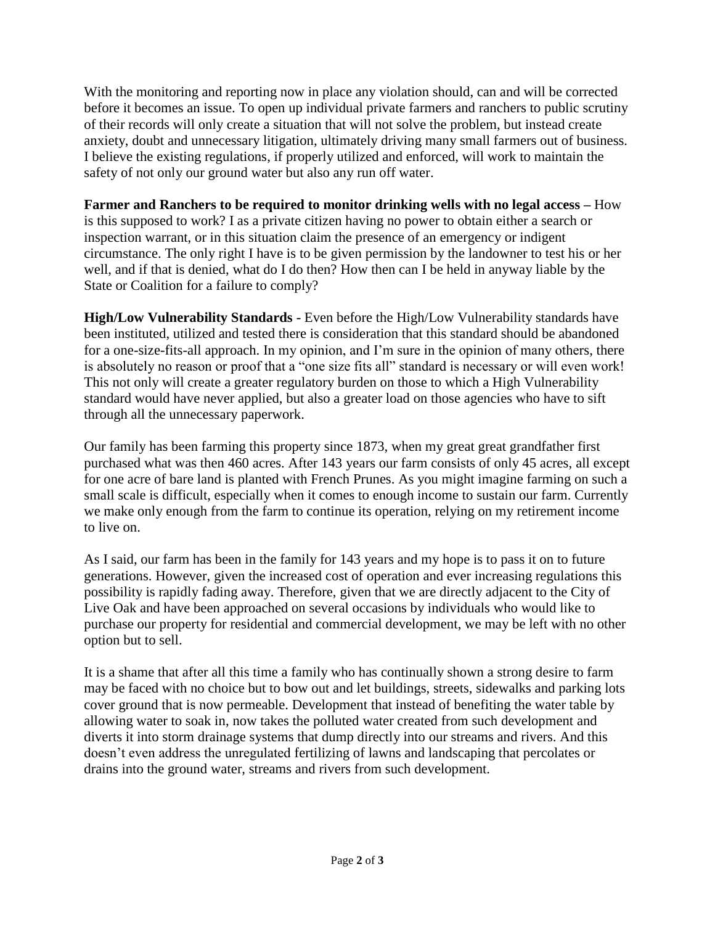With the monitoring and reporting now in place any violation should, can and will be corrected before it becomes an issue. To open up individual private farmers and ranchers to public scrutiny of their records will only create a situation that will not solve the problem, but instead create anxiety, doubt and unnecessary litigation, ultimately driving many small farmers out of business. I believe the existing regulations, if properly utilized and enforced, will work to maintain the safety of not only our ground water but also any run off water.

**Farmer and Ranchers to be required to monitor drinking wells with no legal access –** How is this supposed to work? I as a private citizen having no power to obtain either a search or inspection warrant, or in this situation claim the presence of an emergency or indigent circumstance. The only right I have is to be given permission by the landowner to test his or her well, and if that is denied, what do I do then? How then can I be held in anyway liable by the State or Coalition for a failure to comply?

**High/Low Vulnerability Standards -** Even before the High/Low Vulnerability standards have been instituted, utilized and tested there is consideration that this standard should be abandoned for a one-size-fits-all approach. In my opinion, and I'm sure in the opinion of many others, there is absolutely no reason or proof that a "one size fits all" standard is necessary or will even work! This not only will create a greater regulatory burden on those to which a High Vulnerability standard would have never applied, but also a greater load on those agencies who have to sift through all the unnecessary paperwork.

Our family has been farming this property since 1873, when my great great grandfather first purchased what was then 460 acres. After 143 years our farm consists of only 45 acres, all except for one acre of bare land is planted with French Prunes. As you might imagine farming on such a small scale is difficult, especially when it comes to enough income to sustain our farm. Currently we make only enough from the farm to continue its operation, relying on my retirement income to live on.

As I said, our farm has been in the family for 143 years and my hope is to pass it on to future generations. However, given the increased cost of operation and ever increasing regulations this possibility is rapidly fading away. Therefore, given that we are directly adjacent to the City of Live Oak and have been approached on several occasions by individuals who would like to purchase our property for residential and commercial development, we may be left with no other option but to sell.

It is a shame that after all this time a family who has continually shown a strong desire to farm may be faced with no choice but to bow out and let buildings, streets, sidewalks and parking lots cover ground that is now permeable. Development that instead of benefiting the water table by allowing water to soak in, now takes the polluted water created from such development and diverts it into storm drainage systems that dump directly into our streams and rivers. And this doesn't even address the unregulated fertilizing of lawns and landscaping that percolates or drains into the ground water, streams and rivers from such development.